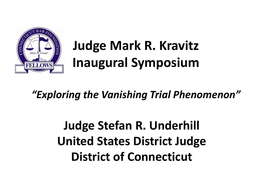

# **Judge Mark R. Kravitz Inaugural Symposium**

### *"Exploring the Vanishing Trial Phenomenon"*

## **Judge Stefan R. Underhill United States District Judge District of Connecticut**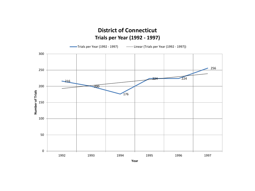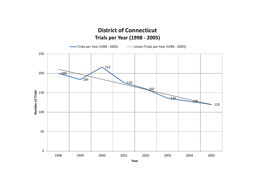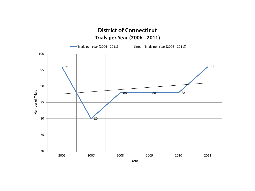

#### **District of Connecticut Trials per Year (2006 - 2011)**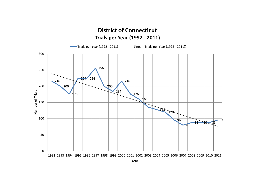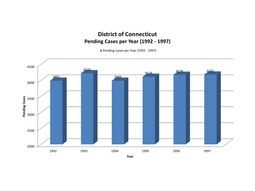#### **District of Connecticut Pending Cases per Year (1992 - 1997)**

Pending Cases per Year (1992 - 1997)

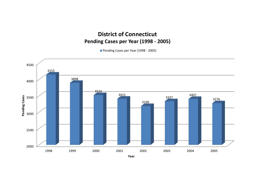#### **District of Connecticut Pending Cases per Year (1998 - 2005)**

Pending Cases per Year (1998 - 2005)

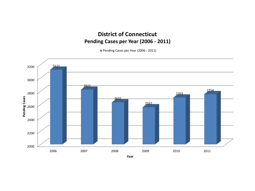#### **District of Connecticut Pending Cases per Year (2006 - 2011)**

Pending Cases per Year (2006 - 2011)

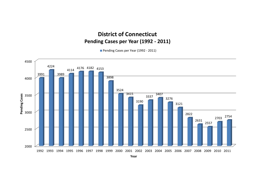#### **District of Connecticut Pending Cases per Year (1992 - 2011)**

Pending Cases per Year (1992 - 2011)

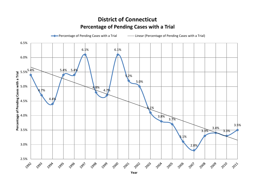#### **District of Connecticut Percentage of Pending Cases with a Trial**



**Year**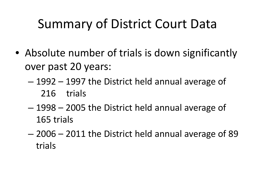## Summary of District Court Data

- Absolute number of trials is down significantly over past 20 years:
	- 1992 1997 the District held annual average of 216 trials
	- 1998 2005 the District held annual average of 165 trials
	- 2006 2011 the District held annual average of 89 trials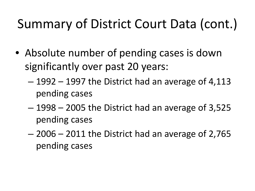# Summary of District Court Data (cont.)

- Absolute number of pending cases is down significantly over past 20 years:
	- 1992 1997 the District had an average of 4,113 pending cases
	- 1998 2005 the District had an average of 3,525 pending cases
	- 2006 2011 the District had an average of 2,765 pending cases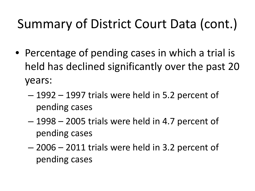# Summary of District Court Data (cont.)

- Percentage of pending cases in which a trial is held has declined significantly over the past 20 years:
	- 1992 1997 trials were held in 5.2 percent of pending cases
	- 1998 2005 trials were held in 4.7 percent of pending cases
	- 2006 2011 trials were held in 3.2 percent of pending cases